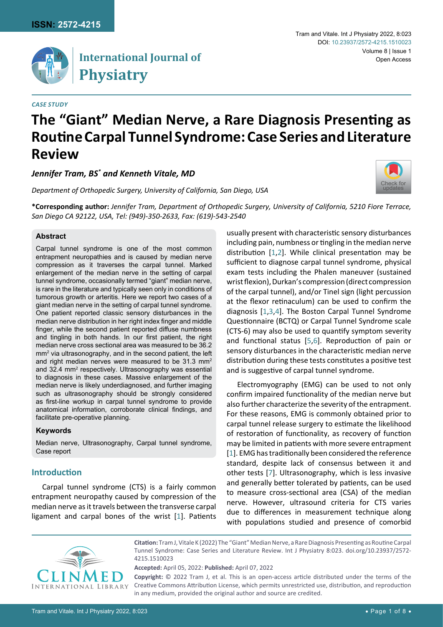

## **International Journal of Physiatry**

#### *Case Study*

#### Tram and Vitale. Int J Physiatry 2022, 8:023 Volume 8 | Issue 1 DOI: [10.23937/2572-4215.1510023](https://doi.org/10.23937/2572-4215.1510023) Open Access

# **The "Giant" Median Nerve, a Rare Diagnosis Presenting as Routine Carpal Tunnel Syndrome: Case Series and Literature Review**

*Jennifer Tram, BS\* and Kenneth Vitale, MD*

*Department of Orthopedic Surgery, University of California, San Diego, USA*



**\*Corresponding author:** *Jennifer Tram, Department of Orthopedic Surgery, University of California, 5210 Fiore Terrace, San Diego CA 92122, USA, Tel: (949)-350-2633, Fax: (619)-543-2540*

### **Abstract**

Carpal tunnel syndrome is one of the most common entrapment neuropathies and is caused by median nerve compression as it traverses the carpal tunnel. Marked enlargement of the median nerve in the setting of carpal tunnel syndrome, occasionally termed "giant" median nerve, is rare in the literature and typically seen only in conditions of tumorous growth or arteritis. Here we report two cases of a giant median nerve in the setting of carpal tunnel syndrome. One patient reported classic sensory disturbances in the median nerve distribution in her right index finger and middle finger, while the second patient reported diffuse numbness and tingling in both hands. In our first patient, the right median nerve cross sectional area was measured to be 36.2 mm2 via ultrasonography, and in the second patient, the left and right median nerves were measured to be 31.3 mm<sup>2</sup> and 32.4 mm<sup>2</sup> respectively. Ultrasonography was essential to diagnosis in these cases. Massive enlargement of the median nerve is likely underdiagnosed, and further imaging such as ultrasonography should be strongly considered as first-line workup in carpal tunnel syndrome to provide anatomical information, corroborate clinical findings, and facilitate pre-operative planning.

#### **Keywords**

Median nerve, Ultrasonography, Carpal tunnel syndrome, Case report

## **Introduction**

Carpal tunnel syndrome (CTS) is a fairly common entrapment neuropathy caused by compression of the median nerve as it travels between the transverse carpal ligament and carpal bones of the wrist [[1](#page-5-0)]. Patients

usually present with characteristic sensory disturbances including pain, numbness or tingling in the median nerve distribution [[1](#page-5-0)[,2](#page-6-0)]. While clinical presentation may be sufficient to diagnose carpal tunnel syndrome, physical exam tests including the Phalen maneuver (sustained wrist flexion), Durkan's compression (direct compression of the carpal tunnel), and/or Tinel sign (light percussion at the flexor retinaculum) can be used to confirm the diagnosis [\[1](#page-5-0),[3](#page-6-1),[4](#page-6-2)]. The Boston Carpal Tunnel Syndrome Questionnaire (BCTQ) or Carpal Tunnel Syndrome scale (CTS-6) may also be used to quantify symptom severity and functional status [[5](#page-6-3),[6\]](#page-6-4). Reproduction of pain or sensory disturbances in the characteristic median nerve distribution during these tests constitutes a positive test and is suggestive of carpal tunnel syndrome.

Electromyography (EMG) can be used to not only confirm impaired functionality of the median nerve but also further characterize the severity of the entrapment. For these reasons, EMG is commonly obtained prior to carpal tunnel release surgery to estimate the likelihood of restoration of functionality, as recovery of function may be limited in patients with more severe entrapment [\[1\]](#page-5-0). EMG has traditionally been considered the reference standard, despite lack of consensus between it and other tests [[7](#page-6-5)]. Ultrasonography, which is less invasive and generally better tolerated by patients, can be used to measure cross-sectional area (CSA) of the median nerve. However, ultrasound criteria for CTS varies due to differences in measurement technique along with populations studied and presence of comorbid



**Citation:** Tram J, Vitale K (2022) The "Giant" Median Nerve, a Rare Diagnosis Presenting as Routine Carpal Tunnel Syndrome: Case Series and Literature Review. Int J Physiatry 8:023. [doi.org/10.23937/2572-](https://doi.org/10.23937/2572-4215.1510023) [4215.1510023](https://doi.org/10.23937/2572-4215.1510023)

**Accepted:** April 05, 2022: **Published:** April 07, 2022

**Copyright:** © 2022 Tram J, et al. This is an open-access article distributed under the terms of the Creative Commons Attribution License, which permits unrestricted use, distribution, and reproduction in any medium, provided the original author and source are credited.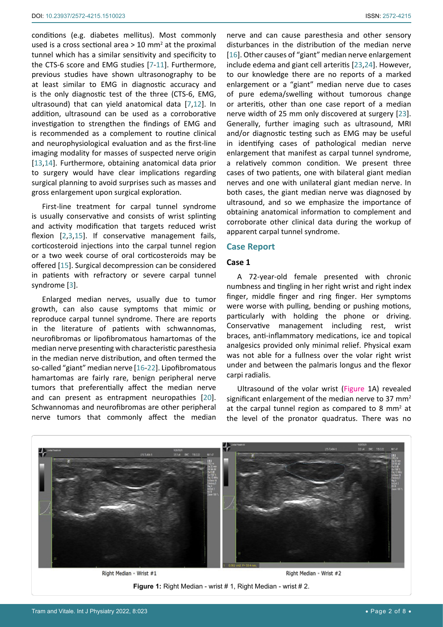conditions (e.g. diabetes mellitus). Most commonly used is a cross sectional area  $>$  10 mm<sup>2</sup> at the proximal tunnel which has a similar sensitivity and specificity to the CTS-6 score and EMG studies [[7](#page-6-5)-[11\]](#page-6-9). Furthermore, previous studies have shown ultrasonography to be at least similar to EMG in diagnostic accuracy and is the only diagnostic test of the three (CTS-6, EMG, ultrasound) that can yield anatomical data [[7](#page-6-5),[12](#page-6-10)]. In addition, ultrasound can be used as a corroborative investigation to strengthen the findings of EMG and is recommended as a complement to routine clinical and neurophysiological evaluation and as the first-line imaging modality for masses of suspected nerve origin [[13](#page-6-11),[14\]](#page-6-12). Furthermore, obtaining anatomical data prior to surgery would have clear implications regarding surgical planning to avoid surprises such as masses and gross enlargement upon surgical exploration.

First-line treatment for carpal tunnel syndrome is usually conservative and consists of wrist splinting and activity modification that targets reduced wrist flexion [[2](#page-6-0),[3](#page-6-1),[15](#page-6-13)]. If conservative management fails, corticosteroid injections into the carpal tunnel region or a two week course of oral corticosteroids may be offered [\[15](#page-6-13)]. Surgical decompression can be considered in patients with refractory or severe carpal tunnel syndrome [\[3\]](#page-6-1).

Enlarged median nerves, usually due to tumor growth, can also cause symptoms that mimic or reproduce carpal tunnel syndrome. There are reports in the literature of patients with schwannomas, neurofibromas or lipofibromatous hamartomas of the median nerve presenting with characteristic paresthesia in the median nerve distribution, and often termed the so-called "giant" median nerve [\[16-](#page-6-6)[22](#page-6-14)]. Lipofibromatous hamartomas are fairly rare, benign peripheral nerve tumors that preferentially affect the median nerve and can present as entrapment neuropathies [[20](#page-6-15)]. Schwannomas and neurofibromas are other peripheral nerve tumors that commonly affect the median

nerve and can cause paresthesia and other sensory disturbances in the distribution of the median nerve [\[16](#page-6-6)]. Other causes of "giant" median nerve enlargement include edema and giant cell arteritis [\[23](#page-6-7),[24](#page-6-8)]. However, to our knowledge there are no reports of a marked enlargement or a "giant" median nerve due to cases of pure edema/swelling without tumorous change or arteritis, other than one case report of a median nerve width of 25 mm only discovered at surgery [\[23\]](#page-6-7). Generally, further imaging such as ultrasound, MRI and/or diagnostic testing such as EMG may be useful in identifying cases of pathological median nerve enlargement that manifest as carpal tunnel syndrome, a relatively common condition. We present three cases of two patients, one with bilateral giant median nerves and one with unilateral giant median nerve. In both cases, the giant median nerve was diagnosed by ultrasound, and so we emphasize the importance of obtaining anatomical information to complement and corroborate other clinical data during the workup of apparent carpal tunnel syndrome.

#### **Case Report**

#### **Case 1**

A 72-year-old female presented with chronic numbness and tingling in her right wrist and right index finger, middle finger and ring finger. Her symptoms were worse with pulling, bending or pushing motions, particularly with holding the phone or driving. Conservative management including rest, wrist braces, anti-inflammatory medications, ice and topical analgesics provided only minimal relief. Physical exam was not able for a fullness over the volar right wrist under and between the palmaris longus and the flexor carpi radialis.

Ultrasound of the volar wrist (Figure 1A) revealed significant enlargement of the median nerve to 37  $mm<sup>2</sup>$ at the carpal tunnel region as compared to 8 mm<sup>2</sup> at the level of the pronator quadratus. There was no

<span id="page-1-0"></span>

**Figure 1:** Right Median - wrist # 1, Right Median - wrist # 2.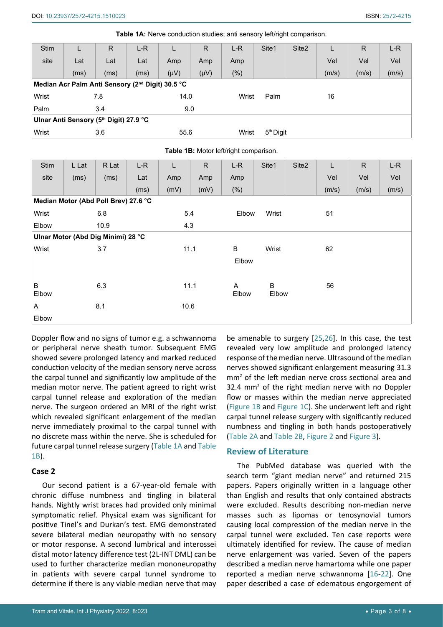| <b>Stim</b> | L    | R                                                            | L-R  |           | $\mathsf{R}$ | $L-R$   | Site1                 | Site <sub>2</sub> |       | R     | $L-R$ |
|-------------|------|--------------------------------------------------------------|------|-----------|--------------|---------|-----------------------|-------------------|-------|-------|-------|
| site        | Lat  | Lat                                                          | Lat  | Amp       | Amp          | Amp     |                       |                   | Vel   | Vel   | Vel   |
|             | (ms) | (ms)                                                         | (ms) | $(\mu V)$ | $(\mu V)$    | $(\% )$ |                       |                   | (m/s) | (m/s) | (m/s) |
|             |      | Median Acr Palm Anti Sensory (2 <sup>nd</sup> Digit) 30.5 °C |      |           |              |         |                       |                   |       |       |       |
| Wrist       |      | 7.8                                                          |      | 14.0      |              | Wrist   | Palm                  |                   | 16    |       |       |
| Palm        |      | 3.4                                                          |      | 9.0       |              |         |                       |                   |       |       |       |
|             |      | Ulnar Anti Sensory (5th Digit) 27.9 °C                       |      |           |              |         |                       |                   |       |       |       |
| Wrist       |      | 3.6                                                          |      | 55.6      |              | Wrist   | 5 <sup>th</sup> Digit |                   |       |       |       |

<span id="page-2-0"></span>**Table 1A:** Nerve conduction studies; anti sensory left/right comparison.

<span id="page-2-1"></span>**Table 1B:** Motor left/right comparison.

| Stim  | L Lat | R Lat                                | $L-R$ | L    | ${\sf R}$ | $L-R$ | Site1 | Site <sub>2</sub> | L     | $\mathsf{R}$ | $L-R$ |
|-------|-------|--------------------------------------|-------|------|-----------|-------|-------|-------------------|-------|--------------|-------|
| site  | (ms)  | (ms)                                 | Lat   | Amp  | Amp       | Amp   |       |                   | Vel   | Vel          | Vel   |
|       |       |                                      | (ms)  | (mV) | (mV)      | (% )  |       |                   | (m/s) | (m/s)        | (m/s) |
|       |       | Median Motor (Abd Poll Brev) 27.6 °C |       |      |           |       |       |                   |       |              |       |
| Wrist |       | 6.8                                  |       | 5.4  |           | Elbow | Wrist |                   | 51    |              |       |
| Elbow |       | 10.9                                 |       | 4.3  |           |       |       |                   |       |              |       |
|       |       | Ulnar Motor (Abd Dig Minimi) 28 °C   |       |      |           |       |       |                   |       |              |       |
| Wrist |       | 3.7                                  |       | 11.1 |           | B     | Wrist |                   | 62    |              |       |
|       |       |                                      |       |      |           | Elbow |       |                   |       |              |       |
|       |       |                                      |       |      |           |       |       |                   |       |              |       |
| B     |       | 6.3                                  |       | 11.1 |           | A     | B     |                   | 56    |              |       |
| Elbow |       |                                      |       |      |           | Elbow | Elbow |                   |       |              |       |
| A     |       | 8.1                                  |       | 10.6 |           |       |       |                   |       |              |       |
| Elbow |       |                                      |       |      |           |       |       |                   |       |              |       |

Doppler flow and no signs of tumor e.g. a schwannoma or peripheral nerve sheath tumor. Subsequent EMG showed severe prolonged latency and marked reduced conduction velocity of the median sensory nerve across the carpal tunnel and significantly low amplitude of the median motor nerve. The patient agreed to right wrist carpal tunnel release and exploration of the median nerve. The surgeon ordered an MRI of the right wrist which revealed significant enlargement of the median nerve immediately proximal to the carpal tunnel with no discrete mass within the nerve. She is scheduled for future carpal tunnel release surgery ([Table 1A](#page-2-0) and [Table](#page-2-1)  [1B](#page-2-1)).

## **Case 2**

Our second patient is a 67-year-old female with chronic diffuse numbness and tingling in bilateral hands. Nightly wrist braces had provided only minimal symptomatic relief. Physical exam was significant for positive Tinel's and Durkan's test. EMG demonstrated severe bilateral median neuropathy with no sensory or motor response. A second lumbrical and interossei distal motor latency difference test (2L-INT DML) can be used to further characterize median mononeuropathy in patients with severe carpal tunnel syndrome to determine if there is any viable median nerve that may

be amenable to surgery [\[25](#page-6-16),[26](#page-6-17)]. In this case, the test revealed very low amplitude and prolonged latency response of the median nerve. Ultrasound of the median nerves showed significant enlargement measuring 31.3 mm2 of the left median nerve cross sectional area and 32.4 mm<sup>2</sup> of the right median nerve with no Doppler flow or masses within the median nerve appreciated ([Figure 1B](#page-1-0) and [Figure 1C\)](#page-1-0). She underwent left and right carpal tunnel release surgery with significantly reduced numbness and tingling in both hands postoperatively ([Table 2A](#page-3-0) and [Table 2B](#page-3-1), [Figure 2](#page-3-2) and [Figure 3\)](#page-4-0).

## **Review of Literature**

The PubMed database was queried with the search term "giant median nerve" and returned 215 papers. Papers originally written in a language other than English and results that only contained abstracts were excluded. Results describing non-median nerve masses such as lipomas or tenosynovial tumors causing local compression of the median nerve in the carpal tunnel were excluded. Ten case reports were ultimately identified for review. The cause of median nerve enlargement was varied. Seven of the papers described a median nerve hamartoma while one paper reported a median nerve schwannoma [\[16](#page-6-6)-[22](#page-6-14)]. One paper described a case of edematous engorgement of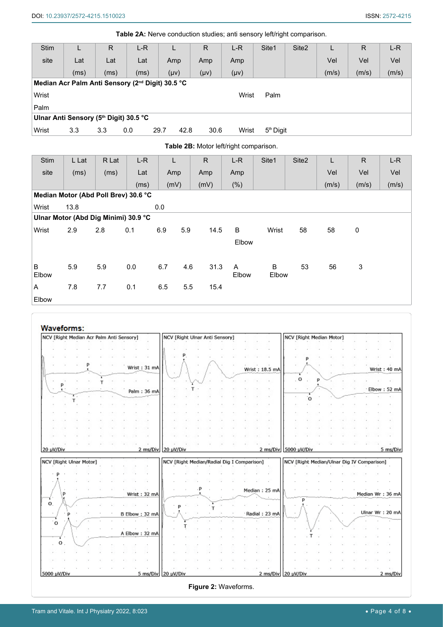(m/s) (m/s) (m/s)

<span id="page-3-0"></span>

|             |       |                                        |                                                              | Table 2A: Nerve conduction studies; anti sensory left/right comparison. |             |                                        |                       |                   |       |              |       |
|-------------|-------|----------------------------------------|--------------------------------------------------------------|-------------------------------------------------------------------------|-------------|----------------------------------------|-----------------------|-------------------|-------|--------------|-------|
| <b>Stim</b> |       | R                                      | $L-R$                                                        |                                                                         | R           | $L-R$                                  | Site1                 | Site <sub>2</sub> |       | R            | $L-R$ |
| site        | Lat   | Lat                                    | Lat                                                          | Amp                                                                     | Amp         | Amp                                    |                       |                   | Vel   | Vel          | Vel   |
|             | (ms)  | (ms)                                   | (ms)                                                         | $(\mu v)$                                                               | $(\mu \nu)$ | $(\mu v)$                              |                       |                   | (m/s) | (m/s)        | (m/s) |
|             |       |                                        | Median Acr Palm Anti Sensory (2 <sup>nd</sup> Digit) 30.5 °C |                                                                         |             |                                        |                       |                   |       |              |       |
| Wrist       |       |                                        |                                                              |                                                                         |             | Wrist                                  | Palm                  |                   |       |              |       |
| Palm        |       |                                        |                                                              |                                                                         |             |                                        |                       |                   |       |              |       |
|             |       | Ulnar Anti Sensory (5th Digit) 30.5 °C |                                                              |                                                                         |             |                                        |                       |                   |       |              |       |
| Wrist       | 3.3   | 3.3                                    | 0.0                                                          | 29.7<br>42.8                                                            | 30.6        | Wrist                                  | 5 <sup>th</sup> Digit |                   |       |              |       |
|             |       |                                        |                                                              |                                                                         |             | Table 2B: Motor left/right comparison. |                       |                   |       |              |       |
| <b>Stim</b> | L Lat | R Lat                                  | $L-R$                                                        | L                                                                       | R           | $L-R$                                  | Site <sub>1</sub>     | Site <sub>2</sub> |       | $\mathsf{R}$ | $L-R$ |
| site        | (ms)  | (ms)                                   | Lat                                                          | Amp                                                                     | Amp         | Amp                                    |                       |                   | Vel   | Vel          | Vel   |

|            |      |     | Median Motor (Abd Poll Brev) 30.6 °C |     |     |      |            |            |    |    |   |  |
|------------|------|-----|--------------------------------------|-----|-----|------|------------|------------|----|----|---|--|
| Wrist      | 13.8 |     |                                      | 0.0 |     |      |            |            |    |    |   |  |
|            |      |     | Ulnar Motor (Abd Dig Minimi) 30.9 °C |     |     |      |            |            |    |    |   |  |
| Wrist      | 2.9  | 2.8 | 0.1                                  | 6.9 | 5.9 | 14.5 | B          | Wrist      | 58 | 58 | 0 |  |
|            |      |     |                                      |     |     |      | Elbow      |            |    |    |   |  |
| B<br>Elbow | 5.9  | 5.9 | 0.0                                  | 6.7 | 4.6 | 31.3 | A<br>Elbow | B<br>Elbow | 53 | 56 | 3 |  |
| A          | 7.8  | 7.7 | 0.1                                  | 6.5 | 5.5 | 15.4 |            |            |    |    |   |  |
| Elbow      |      |     |                                      |     |     |      |            |            |    |    |   |  |

<span id="page-3-1"></span>(ms) (mV) (mV) (%)

<span id="page-3-2"></span>

| NCV [Right Median Acr Palm Anti Sensory] |  |  |  |                |           |  | NCV [Right Ulnar Anti Sensory]             |  |                |             |         |          |   | NCV [Right Median Motor] |  |                                            |                                                 |
|------------------------------------------|--|--|--|----------------|-----------|--|--------------------------------------------|--|----------------|-------------|---------|----------|---|--------------------------|--|--------------------------------------------|-------------------------------------------------|
|                                          |  |  |  |                |           |  |                                            |  |                |             |         |          |   |                          |  |                                            |                                                 |
|                                          |  |  |  |                |           |  |                                            |  |                |             |         |          |   |                          |  |                                            |                                                 |
|                                          |  |  |  | Wrist: 31 mA   |           |  |                                            |  | Wrist: 18.5 mA |             |         |          |   |                          |  |                                            | Wrist: 40 mA                                    |
|                                          |  |  |  |                |           |  |                                            |  |                |             | $\circ$ |          | p |                          |  |                                            |                                                 |
|                                          |  |  |  | Palm: 36 mA    |           |  |                                            |  |                |             |         |          |   |                          |  |                                            | Elbow: 52 mA                                    |
|                                          |  |  |  |                |           |  |                                            |  |                |             |         | $\Omega$ |   |                          |  |                                            |                                                 |
|                                          |  |  |  |                |           |  |                                            |  |                |             |         |          |   |                          |  |                                            |                                                 |
|                                          |  |  |  |                |           |  |                                            |  |                |             |         |          |   |                          |  |                                            |                                                 |
|                                          |  |  |  |                |           |  |                                            |  |                |             |         |          |   |                          |  |                                            |                                                 |
|                                          |  |  |  |                |           |  |                                            |  |                |             |         |          |   |                          |  |                                            |                                                 |
|                                          |  |  |  |                |           |  |                                            |  |                |             |         |          |   |                          |  |                                            |                                                 |
|                                          |  |  |  | 2 ms/Div       | 20 uV/Div |  | NCV [Right Median/Radial Dig I Comparison] |  | 2 ms/Div       | 5000 µV/Div |         |          |   |                          |  | NCV [Right Median/Ulnar Dig IV Comparison] |                                                 |
| 20 µV/Div<br>NCV [Right Ulnar Motor]     |  |  |  |                |           |  |                                            |  |                |             |         |          |   |                          |  |                                            |                                                 |
|                                          |  |  |  |                |           |  |                                            |  |                |             |         |          |   |                          |  |                                            |                                                 |
| P                                        |  |  |  | Wrist: 32 mA   |           |  |                                            |  | Median: 25 mA  |             |         |          |   |                          |  |                                            |                                                 |
| 0                                        |  |  |  |                |           |  |                                            |  |                |             | D       |          |   |                          |  |                                            |                                                 |
|                                          |  |  |  | B Elbow: 32 mA |           |  |                                            |  | Radial: 23 mA  |             |         |          |   |                          |  |                                            | 5 ms/Div<br>Median Wr: 36 mA<br>Ulnar Wr: 20 mA |
| $\circ$                                  |  |  |  |                |           |  |                                            |  |                |             |         |          |   |                          |  |                                            |                                                 |
|                                          |  |  |  | A Elbow: 32 mA |           |  |                                            |  |                |             |         |          |   |                          |  |                                            |                                                 |
| o                                        |  |  |  |                |           |  |                                            |  |                |             |         |          |   |                          |  |                                            |                                                 |
|                                          |  |  |  |                |           |  |                                            |  |                |             |         |          |   |                          |  |                                            |                                                 |
|                                          |  |  |  |                |           |  |                                            |  |                |             |         |          |   |                          |  |                                            |                                                 |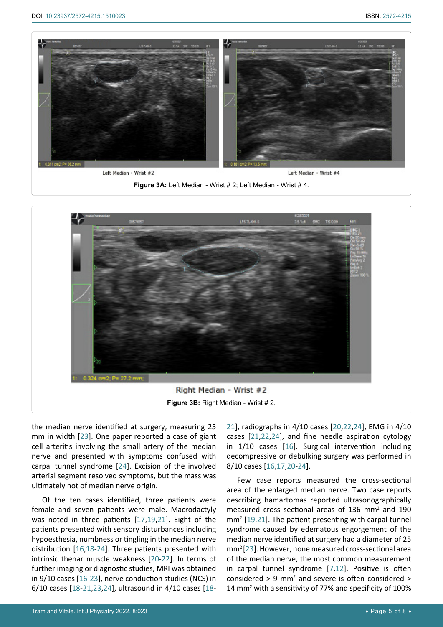<span id="page-4-0"></span>

**Figure 3A:** Left Median - Wrist # 2; Left Median - Wrist # 4.



the median nerve identified at surgery, measuring 25 mm in width [[23](#page-6-7)]. One paper reported a case of giant cell arteritis involving the small artery of the median nerve and presented with symptoms confused with carpal tunnel syndrome [[24](#page-6-8)]. Excision of the involved arterial segment resolved symptoms, but the mass was ultimately not of median nerve origin.

Of the ten cases identified, three patients were female and seven patients were male. Macrodactyly was noted in three patients [[17](#page-6-19),[19](#page-6-20),[21\]](#page-6-18). Eight of the patients presented with sensory disturbances including hypoesthesia, numbness or tingling in the median nerve distribution [[16](#page-6-6),[18-](#page-6-21)[24](#page-6-8)]. Three patients presented with intrinsic thenar muscle weakness [[20](#page-6-15)-[22](#page-6-14)]. In terms of further imaging or diagnostic studies, MRI was obtained in 9/10 cases [\[16](#page-6-6)-[23\]](#page-6-7), nerve conduction studies (NCS) in 6/10 cases [[18](#page-6-21)[-21](#page-6-18),[23](#page-6-7)[,24](#page-6-8)], ultrasound in 4/10 cases [\[18](#page-6-21)-

[21\]](#page-6-18), radiographs in 4/10 cases [[20,](#page-6-15)[22](#page-6-14)[,24](#page-6-8)], EMG in 4/10 cases [[21](#page-6-18),[22,](#page-6-14)[24](#page-6-8)], and fine needle aspiration cytology in 1/10 cases [\[16](#page-6-6)]. Surgical intervention including decompressive or debulking surgery was performed in 8/10 cases [\[16](#page-6-6),[17](#page-6-19),[20](#page-6-15)-[24](#page-6-8)].

Few case reports measured the cross-sectional area of the enlarged median nerve. Two case reports describing hamartomas reported ultrasonographically measured cross sectional areas of 136 mm<sup>2</sup> and 190 mm2 [[19](#page-6-20),[21\]](#page-6-18). The patient presenting with carpal tunnel syndrome caused by edematous engorgement of the median nerve identified at surgery had a diameter of 25 mm2 [[23](#page-6-7)]. However, none measured cross-sectional area of the median nerve, the most common measurement in carpal tunnel syndrome [[7](#page-6-5),[12](#page-6-10)]. Positive is often considered  $> 9$  mm<sup>2</sup> and severe is often considered  $>$ 14 mm<sup>2</sup> with a sensitivity of 77% and specificity of 100%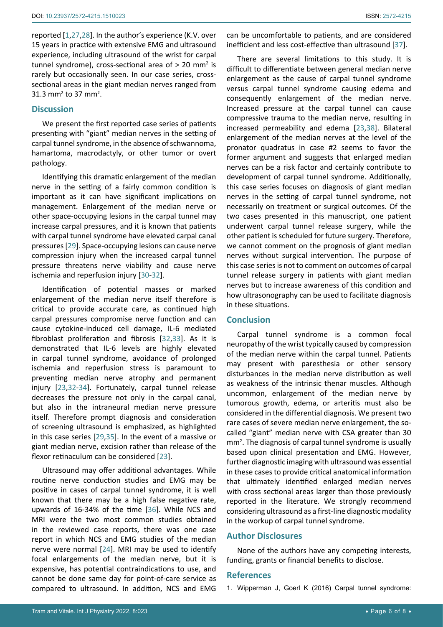reported [[1](#page-5-0),[27](#page-6-22),[28](#page-6-23)]. In the author's experience (K.V. over 15 years in practice with extensive EMG and ultrasound experience, including ultrasound of the wrist for carpal tunnel syndrome), cross-sectional area of  $>$  20 mm<sup>2</sup> is rarely but occasionally seen. In our case series, crosssectional areas in the giant median nerves ranged from  $31.3 \text{ mm}^2$  to 37 mm<sup>2</sup>.

## **Discussion**

We present the first reported case series of patients presenting with "giant" median nerves in the setting of carpal tunnel syndrome, in the absence of schwannoma, hamartoma, macrodactyly, or other tumor or overt pathology.

Identifying this dramatic enlargement of the median nerve in the setting of a fairly common condition is important as it can have significant implications on management. Enlargement of the median nerve or other space-occupying lesions in the carpal tunnel may increase carpal pressures, and it is known that patients with carpal tunnel syndrome have elevated carpal canal pressures [\[29](#page-6-24)]. Space-occupying lesions can cause nerve compression injury when the increased carpal tunnel pressure threatens nerve viability and cause nerve ischemia and reperfusion injury [\[30-](#page-6-25)[32](#page-6-26)].

Identification of potential masses or marked enlargement of the median nerve itself therefore is critical to provide accurate care, as continued high carpal pressures compromise nerve function and can cause cytokine-induced cell damage, IL-6 mediated fibroblast proliferation and fibrosis [[32](#page-6-26),[33\]](#page-6-27). As it is demonstrated that IL-6 levels are highly elevated in carpal tunnel syndrome, avoidance of prolonged ischemia and reperfusion stress is paramount to preventing median nerve atrophy and permanent injury [\[23](#page-6-7),[32](#page-6-26)-[34](#page-6-28)]. Fortunately, carpal tunnel release decreases the pressure not only in the carpal canal, but also in the intraneural median nerve pressure itself. Therefore prompt diagnosis and consideration of screening ultrasound is emphasized, as highlighted in this case series [[29](#page-6-24),[35\]](#page-6-29). In the event of a massive or giant median nerve, excision rather than release of the flexor retinaculum can be considered [\[23\]](#page-6-7).

Ultrasound may offer additional advantages. While routine nerve conduction studies and EMG may be positive in cases of carpal tunnel syndrome, it is well known that there may be a high false negative rate, upwards of 16-34% of the time [[36\]](#page-6-30). While NCS and MRI were the two most common studies obtained in the reviewed case reports, there was one case report in which NCS and EMG studies of the median nerve were normal [[24](#page-6-8)]. MRI may be used to identify focal enlargements of the median nerve, but it is expensive, has potential contraindications to use, and cannot be done same day for point-of-care service as compared to ultrasound. In addition, NCS and EMG

can be uncomfortable to patients, and are considered inefficient and less cost-effective than ultrasound [[37\]](#page-7-0).

There are several limitations to this study. It is difficult to differentiate between general median nerve enlargement as the cause of carpal tunnel syndrome versus carpal tunnel syndrome causing edema and consequently enlargement of the median nerve. Increased pressure at the carpal tunnel can cause compressive trauma to the median nerve, resulting in increased permeability and edema [[23](#page-6-7),[38\]](#page-7-1). Bilateral enlargement of the median nerves at the level of the pronator quadratus in case #2 seems to favor the former argument and suggests that enlarged median nerves can be a risk factor and certainly contribute to development of carpal tunnel syndrome. Additionally, this case series focuses on diagnosis of giant median nerves in the setting of carpal tunnel syndrome, not necessarily on treatment or surgical outcomes. Of the two cases presented in this manuscript, one patient underwent carpal tunnel release surgery, while the other patient is scheduled for future surgery. Therefore, we cannot comment on the prognosis of giant median nerves without surgical intervention. The purpose of this case series is not to comment on outcomes of carpal tunnel release surgery in patients with giant median nerves but to increase awareness of this condition and how ultrasonography can be used to facilitate diagnosis in these situations.

## **Conclusion**

Carpal tunnel syndrome is a common focal neuropathy of the wrist typically caused by compression of the median nerve within the carpal tunnel. Patients may present with paresthesia or other sensory disturbances in the median nerve distribution as well as weakness of the intrinsic thenar muscles. Although uncommon, enlargement of the median nerve by tumorous growth, edema, or arteritis must also be considered in the differential diagnosis. We present two rare cases of severe median nerve enlargement, the socalled "giant" median nerve with CSA greater than 30 mm<sup>2</sup>. The diagnosis of carpal tunnel syndrome is usually based upon clinical presentation and EMG. However, further diagnostic imaging with ultrasound was essential in these cases to provide critical anatomical information that ultimately identified enlarged median nerves with cross sectional areas larger than those previously reported in the literature. We strongly recommend considering ultrasound as a first-line diagnostic modality in the workup of carpal tunnel syndrome.

#### **Author Disclosures**

None of the authors have any competing interests, funding, grants or financial benefits to disclose.

## **References**

<span id="page-5-0"></span>1. [Wipperman J, Goerl K \(2016\) Carpal tunnel syndrome:](https://pubmed.ncbi.nlm.nih.gov/28075090/)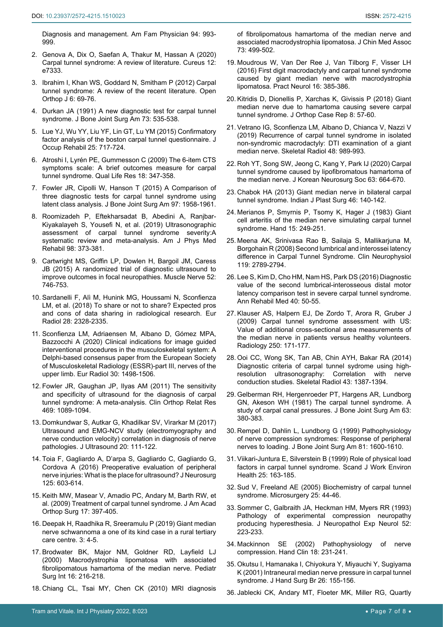<span id="page-6-0"></span>[Diagnosis and management. Am Fam Physician 94: 993-](https://pubmed.ncbi.nlm.nih.gov/28075090/) [999.](https://pubmed.ncbi.nlm.nih.gov/28075090/)

- 2. [Genova A, Dix O, Saefan A, Thakur M, Hassan A \(2020\)](https://pubmed.ncbi.nlm.nih.gov/32313774/)  [Carpal tunnel syndrome: A review of literature. Cureus 12:](https://pubmed.ncbi.nlm.nih.gov/32313774/)  [e7333.](https://pubmed.ncbi.nlm.nih.gov/32313774/)
- <span id="page-6-1"></span>3. [Ibrahim I, Khan WS, Goddard N, Smitham P \(2012\) Carpal](https://pubmed.ncbi.nlm.nih.gov/22470412/)  [tunnel syndrome: A review of the recent literature. Open](https://pubmed.ncbi.nlm.nih.gov/22470412/)  [Orthop J 6: 69-76.](https://pubmed.ncbi.nlm.nih.gov/22470412/)
- <span id="page-6-2"></span>4. [Durkan JA \(1991\) A new diagnostic test for carpal tunnel](https://pubmed.ncbi.nlm.nih.gov/1796937/)  [syndrome. J Bone Joint Surg Am 73: 535-538.](https://pubmed.ncbi.nlm.nih.gov/1796937/)
- <span id="page-6-3"></span>5. [Lue YJ, Wu YY, Liu YF, Lin GT, Lu YM \(2015\) Confirmatory](https://pubmed.ncbi.nlm.nih.gov/25894722/)  [factor analysis of the boston carpal tunnel questionnaire. J](https://pubmed.ncbi.nlm.nih.gov/25894722/)  [Occup Rehabil 25: 717-724.](https://pubmed.ncbi.nlm.nih.gov/25894722/)
- <span id="page-6-4"></span>6. [Atroshi I, Lyrén PE, Gummesson C \(2009\) The 6-item CTS](https://pubmed.ncbi.nlm.nih.gov/19229657/)  [symptoms scale: A brief outcomes measure for carpal](https://pubmed.ncbi.nlm.nih.gov/19229657/)  [tunnel syndrome. Qual Life Res 18: 347-358.](https://pubmed.ncbi.nlm.nih.gov/19229657/)
- <span id="page-6-5"></span>7. [Fowler JR, Cipolli W, Hanson T \(2015\) A Comparison of](https://pubmed.ncbi.nlm.nih.gov/26631997/)  [three diagnostic tests for carpal tunnel syndrome using](https://pubmed.ncbi.nlm.nih.gov/26631997/)  [latent class analysis. J Bone Joint Surg Am 97: 1958-1961.](https://pubmed.ncbi.nlm.nih.gov/26631997/)
- 8. [Roomizadeh P, Eftekharsadat B, Abedini A, Ranjbar-](https://pubmed.ncbi.nlm.nih.gov/30702462/)[Kiyakalayeh S, Yousefi N, et al. \(2019\) Ultrasonographic](https://pubmed.ncbi.nlm.nih.gov/30702462/)  [assessment of carpal tunnel syndrome severity:A](https://pubmed.ncbi.nlm.nih.gov/30702462/)  [systematic review and meta-analysis. Am J Phys Med](https://pubmed.ncbi.nlm.nih.gov/30702462/)  [Rehabil 98: 373-381.](https://pubmed.ncbi.nlm.nih.gov/30702462/)
- 9. [Cartwright MS, Griffin LP, Dowlen H, Bargoil JM, Caress](https://pubmed.ncbi.nlm.nih.gov/26296394/)  [JB \(2015\) A randomized trial of diagnostic ultrasound to](https://pubmed.ncbi.nlm.nih.gov/26296394/)  [improve outcomes in focal neuropathies. Muscle Nerve 52:](https://pubmed.ncbi.nlm.nih.gov/26296394/)  [746-753.](https://pubmed.ncbi.nlm.nih.gov/26296394/)
- 10. [Sardanelli F, Alì M, Hunink MG, Houssami N, Sconfienza](https://pubmed.ncbi.nlm.nih.gov/29349697/)  [LM, et al. \(2018\) To share or not to share? Expected pros](https://pubmed.ncbi.nlm.nih.gov/29349697/)  [and cons of data sharing in radiological research. Eur](https://pubmed.ncbi.nlm.nih.gov/29349697/)  [Radiol 28: 2328-2335.](https://pubmed.ncbi.nlm.nih.gov/29349697/)
- <span id="page-6-9"></span>11. [Sconfienza LM, Adriaensen M, Albano D, Gómez MPA,](https://pubmed.ncbi.nlm.nih.gov/31844963/)  [Bazzocchi A \(2020\) Clinical indications for image guided](https://pubmed.ncbi.nlm.nih.gov/31844963/)  [interventional procedures in the musculoskeletal system: A](https://pubmed.ncbi.nlm.nih.gov/31844963/)  [Delphi-based consensus paper from the European Society](https://pubmed.ncbi.nlm.nih.gov/31844963/)  [of Musculoskeletal Radiology \(ESSR\)-part III, nerves of the](https://pubmed.ncbi.nlm.nih.gov/31844963/)  [upper limb. Eur Radiol 30: 1498-1506.](https://pubmed.ncbi.nlm.nih.gov/31844963/)
- <span id="page-6-10"></span>12. [Fowler JR, Gaughan JP, Ilyas AM \(2011\) The sensitivity](https://pubmed.ncbi.nlm.nih.gov/20963527/)  [and specificity of ultrasound for the diagnosis of carpal](https://pubmed.ncbi.nlm.nih.gov/20963527/)  [tunnel syndrome: A meta-analysis. Clin Orthop Relat Res](https://pubmed.ncbi.nlm.nih.gov/20963527/)  [469: 1089-1094.](https://pubmed.ncbi.nlm.nih.gov/20963527/)
- <span id="page-6-11"></span>13. [Domkundwar S, Autkar G, Khadilkar SV, Virarkar M \(2017\)](https://pubmed.ncbi.nlm.nih.gov/28593000/)  [Ultrasound and EMG-NCV study \(electromyography and](https://pubmed.ncbi.nlm.nih.gov/28593000/)  [nerve conduction velocity\) correlation in diagnosis of nerve](https://pubmed.ncbi.nlm.nih.gov/28593000/)  [pathologies. J Ultrasound 20: 111-122.](https://pubmed.ncbi.nlm.nih.gov/28593000/)
- <span id="page-6-12"></span>14. [Toia F, Gagliardo A, D'arpa S, Gagliardo C, Gagliardo G,](https://pubmed.ncbi.nlm.nih.gov/26799303/)  [Cordova A \(2016\) Preoperative evaluation of peripheral](https://pubmed.ncbi.nlm.nih.gov/26799303/)  [nerve injuries: What is the place for ultrasound? J Neurosurg](https://pubmed.ncbi.nlm.nih.gov/26799303/)  [125: 603-614.](https://pubmed.ncbi.nlm.nih.gov/26799303/)
- <span id="page-6-13"></span>15. [Keith MW, Masear V, Amadio PC, Andary M, Barth RW, et](https://pubmed.ncbi.nlm.nih.gov/19474449/)  [al. \(2009\) Treatment of carpal tunnel syndrome. J Am Acad](https://pubmed.ncbi.nlm.nih.gov/19474449/)  [Orthop Surg 17: 397-405.](https://pubmed.ncbi.nlm.nih.gov/19474449/)
- <span id="page-6-6"></span>16. [Deepak H, Raadhika R, Sreeramulu P \(2019\) Giant median](https://www.pulsus.com/scholarly-articles/giant-median-nerve-schwannoma-a-one-of-its-kind-case-in-a-rural-tertiary-care-centre-5076.html)  [nerve schwannoma a one of its kind case in a rural tertiary](https://www.pulsus.com/scholarly-articles/giant-median-nerve-schwannoma-a-one-of-its-kind-case-in-a-rural-tertiary-care-centre-5076.html)  [care centre. 3: 4-5.](https://www.pulsus.com/scholarly-articles/giant-median-nerve-schwannoma-a-one-of-its-kind-case-in-a-rural-tertiary-care-centre-5076.html)
- <span id="page-6-19"></span>17. [Brodwater BK, Major NM, Goldner RD, Layfield LJ](https://pubmed.ncbi.nlm.nih.gov/10786987/)  [\(2000\) Macrodystrophia lipomatosa with associated](https://pubmed.ncbi.nlm.nih.gov/10786987/)  [fibrolipomatous hamartoma of the median nerve. Pediatr](https://pubmed.ncbi.nlm.nih.gov/10786987/)  [Surg Int 16: 216-218.](https://pubmed.ncbi.nlm.nih.gov/10786987/)
- <span id="page-6-21"></span>18. [Chiang CL, Tsai MY, Chen CK \(2010\) MRI diagnosis](https://pubmed.ncbi.nlm.nih.gov/20875626/)

[of fibrolipomatous hamartoma of the median nerve and](https://pubmed.ncbi.nlm.nih.gov/20875626/)  [associated macrodystrophia lipomatosa. J Chin Med Assoc](https://pubmed.ncbi.nlm.nih.gov/20875626/)  [73: 499-502.](https://pubmed.ncbi.nlm.nih.gov/20875626/)

- <span id="page-6-20"></span>19. [Moudrous W, Van Der Ree J, Van Tilborg F, Visser LH](https://www.ncbi.nlm.nih.gov/pmc/articles/PMC4173870/)  [\(2016\) First digit macrodactyly and carpal tunnel syndrome](https://www.ncbi.nlm.nih.gov/pmc/articles/PMC4173870/)  [caused by giant median nerve with macrodystrophia](https://www.ncbi.nlm.nih.gov/pmc/articles/PMC4173870/)  [lipomatosa. Pract Neurol 16: 385-386.](https://www.ncbi.nlm.nih.gov/pmc/articles/PMC4173870/)
- <span id="page-6-15"></span>20. [Kitridis D, Dionellis P, Xarchas K, Givissis P \(2018\) Giant](https://pubmed.ncbi.nlm.nih.gov/30687665/)  [median nerve due to hamartoma causing severe carpal](https://pubmed.ncbi.nlm.nih.gov/30687665/)  [tunnel syndrome. J Orthop Case Rep 8: 57-60.](https://pubmed.ncbi.nlm.nih.gov/30687665/)
- <span id="page-6-18"></span>21. [Vetrano IG, Sconfienza LM, Albano D, Chianca V, Nazzi V](https://pubmed.ncbi.nlm.nih.gov/30343441/)  [\(2019\) Recurrence of carpal tunnel syndrome in isolated](https://pubmed.ncbi.nlm.nih.gov/30343441/)  [non-syndromic macrodactyly: DTI examination of a giant](https://pubmed.ncbi.nlm.nih.gov/30343441/)  [median nerve. Skeletal Radiol 48: 989-993.](https://pubmed.ncbi.nlm.nih.gov/30343441/)
- <span id="page-6-14"></span>22. [Roh YT, Song SW, Jeong C, Kang Y, Park IJ \(2020\) Carpal](https://pubmed.ncbi.nlm.nih.gov/32594666/)  [tunnel syndrome caused by lipofibromatous hamartoma of](https://pubmed.ncbi.nlm.nih.gov/32594666/)  [the median nerve. J Korean Neurosurg Soc 63: 664-670.](https://pubmed.ncbi.nlm.nih.gov/32594666/)
- <span id="page-6-7"></span>23. [Chabok HA \(2013\) Giant median nerve in bilateral carpal](https://pubmed.ncbi.nlm.nih.gov/23960323/)  [tunnel syndrome. Indian J Plast Surg 46: 140-142.](https://pubmed.ncbi.nlm.nih.gov/23960323/)
- <span id="page-6-8"></span>24. [Merianos P, Smyrnis P, Tsomy K, Hager J \(1983\) Giant](https://pubmed.ncbi.nlm.nih.gov/6642296/)  [cell arteritis of the median nerve simulating carpal tunnel](https://pubmed.ncbi.nlm.nih.gov/6642296/)  [syndrome. Hand 15: 249-251.](https://pubmed.ncbi.nlm.nih.gov/6642296/)
- <span id="page-6-16"></span>25. [Meena AK, Srinivasa Rao B, Sailaja S, Mallikarjuna M,](https://pubmed.ncbi.nlm.nih.gov/18986835/)  [Borgohain R \(2008\) Second lumbrical and interossei latency](https://pubmed.ncbi.nlm.nih.gov/18986835/)  [difference in Carpal Tunnel Syndrome. Clin Neurophysiol](https://pubmed.ncbi.nlm.nih.gov/18986835/)  [119: 2789-2794.](https://pubmed.ncbi.nlm.nih.gov/18986835/)
- <span id="page-6-17"></span>26. [Lee S, Kim D, Cho HM, Nam HS, Park DS \(2016\) Diagnostic](https://pubmed.ncbi.nlm.nih.gov/26949669/)  [value of the second lumbrical-interosseous distal motor](https://pubmed.ncbi.nlm.nih.gov/26949669/)  [latency comparison test in severe carpal tunnel syndrome.](https://pubmed.ncbi.nlm.nih.gov/26949669/)  [Ann Rehabil Med 40: 50-55.](https://pubmed.ncbi.nlm.nih.gov/26949669/)
- <span id="page-6-22"></span>27. [Klauser AS, Halpern EJ, De Zordo T, Arora R, Gruber J](https://pubmed.ncbi.nlm.nih.gov/19037017/)  [\(2009\) Carpal tunnel syndrome assessment with US:](https://pubmed.ncbi.nlm.nih.gov/19037017/)  [Value of additional cross-sectional area measurements of](https://pubmed.ncbi.nlm.nih.gov/19037017/)  [the median nerve in patients versus healthy volunteers.](https://pubmed.ncbi.nlm.nih.gov/19037017/)  [Radiology 250: 171-177.](https://pubmed.ncbi.nlm.nih.gov/19037017/)
- <span id="page-6-23"></span>28. [Ooi CC, Wong SK, Tan AB, Chin AYH, Bakar RA \(2014\)](https://pubmed.ncbi.nlm.nih.gov/24915739/)  [Diagnostic criteria of carpal tunnel sydrome using high](https://pubmed.ncbi.nlm.nih.gov/24915739/)[resolution ultrasonography: Correlation with nerve](https://pubmed.ncbi.nlm.nih.gov/24915739/)  [conduction studies. Skeletal Radiol 43: 1387-1394.](https://pubmed.ncbi.nlm.nih.gov/24915739/)
- <span id="page-6-24"></span>29. [Gelberman RH, Hergenroeder PT, Hargens AR, Lundborg](https://pubmed.ncbi.nlm.nih.gov/7204435/)  [GN, Akeson WH \(1981\) The carpal tunnel syndrome. A](https://pubmed.ncbi.nlm.nih.gov/7204435/)  [study of carpal canal pressures. J Bone Joint Surg Am 63:](https://pubmed.ncbi.nlm.nih.gov/7204435/)  [380-383.](https://pubmed.ncbi.nlm.nih.gov/7204435/)
- <span id="page-6-25"></span>30. [Rempel D, Dahlin L, Lundborg G \(1999\) Pathophysiology](https://pubmed.ncbi.nlm.nih.gov/10565653/)  [of nerve compression syndromes: Response of peripheral](https://pubmed.ncbi.nlm.nih.gov/10565653/)  [nerves to loading. J Bone Joint Surg Am 81: 1600-1610.](https://pubmed.ncbi.nlm.nih.gov/10565653/)
- 31. [Viikari-Juntura E, Silverstein B \(1999\) Role of physical load](https://pubmed.ncbi.nlm.nih.gov/10450768/)  [factors in carpal tunnel syndrome. Scand J Work Environ](https://pubmed.ncbi.nlm.nih.gov/10450768/)  [Health 25: 163-185.](https://pubmed.ncbi.nlm.nih.gov/10450768/)
- <span id="page-6-26"></span>32. [Sud V, Freeland AE \(2005\) Biochemistry of carpal tunnel](https://pubmed.ncbi.nlm.nih.gov/15481038/)  [syndrome. Microsurgery 25: 44-46.](https://pubmed.ncbi.nlm.nih.gov/15481038/)
- <span id="page-6-27"></span>33. Sommer C, Galbraith JA, Heckman HM, Myers RR (1993) Pathology of experimental compression neuropathy producing hyperesthesia. J Neuropathol Exp Neurol 52: 223-233.
- <span id="page-6-28"></span>34. [Mackinnon SE \(2002\) Pathophysiology of nerve](https://pubmed.ncbi.nlm.nih.gov/12371026/)  [compression. Hand Clin 18: 231-241.](https://pubmed.ncbi.nlm.nih.gov/12371026/)
- <span id="page-6-29"></span>35. [Okutsu I, Hamanaka I, Chiyokura Y, Miyauchi Y, Sugiyama](https://pubmed.ncbi.nlm.nih.gov/11281670/)  [K \(2001\) Intraneural median nerve pressure in carpal tunnel](https://pubmed.ncbi.nlm.nih.gov/11281670/)  [syndrome. J Hand Surg Br 26: 155-156.](https://pubmed.ncbi.nlm.nih.gov/11281670/)
- <span id="page-6-30"></span>36. [Jablecki CK, Andary MT, Floeter MK, Miller RG, Quartly](https://pubmed.ncbi.nlm.nih.gov/12058083/)